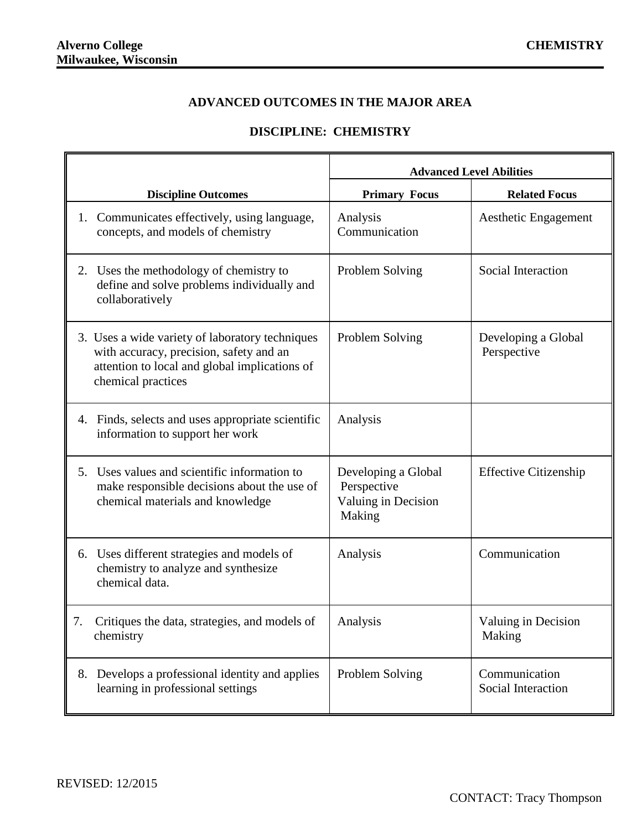## **ADVANCED OUTCOMES IN THE MAJOR AREA**

## **DISCIPLINE: CHEMISTRY**

|                                                                                                                                                                   | <b>Advanced Level Abilities</b>                                     |                                     |
|-------------------------------------------------------------------------------------------------------------------------------------------------------------------|---------------------------------------------------------------------|-------------------------------------|
| <b>Discipline Outcomes</b>                                                                                                                                        | <b>Primary Focus</b>                                                | <b>Related Focus</b>                |
| 1. Communicates effectively, using language,<br>concepts, and models of chemistry                                                                                 | Analysis<br>Communication                                           | Aesthetic Engagement                |
| 2. Uses the methodology of chemistry to<br>define and solve problems individually and<br>collaboratively                                                          | Problem Solving                                                     | Social Interaction                  |
| 3. Uses a wide variety of laboratory techniques<br>with accuracy, precision, safety and an<br>attention to local and global implications of<br>chemical practices | Problem Solving                                                     | Developing a Global<br>Perspective  |
| 4. Finds, selects and uses appropriate scientific<br>information to support her work                                                                              | Analysis                                                            |                                     |
| Uses values and scientific information to<br>5.<br>make responsible decisions about the use of<br>chemical materials and knowledge                                | Developing a Global<br>Perspective<br>Valuing in Decision<br>Making | <b>Effective Citizenship</b>        |
| 6. Uses different strategies and models of<br>chemistry to analyze and synthesize<br>chemical data.                                                               | Analysis                                                            | Communication                       |
| Critiques the data, strategies, and models of<br>7.<br>chemistry                                                                                                  | Analysis                                                            | Valuing in Decision<br>Making       |
| Develops a professional identity and applies<br>8.<br>learning in professional settings                                                                           | Problem Solving                                                     | Communication<br>Social Interaction |